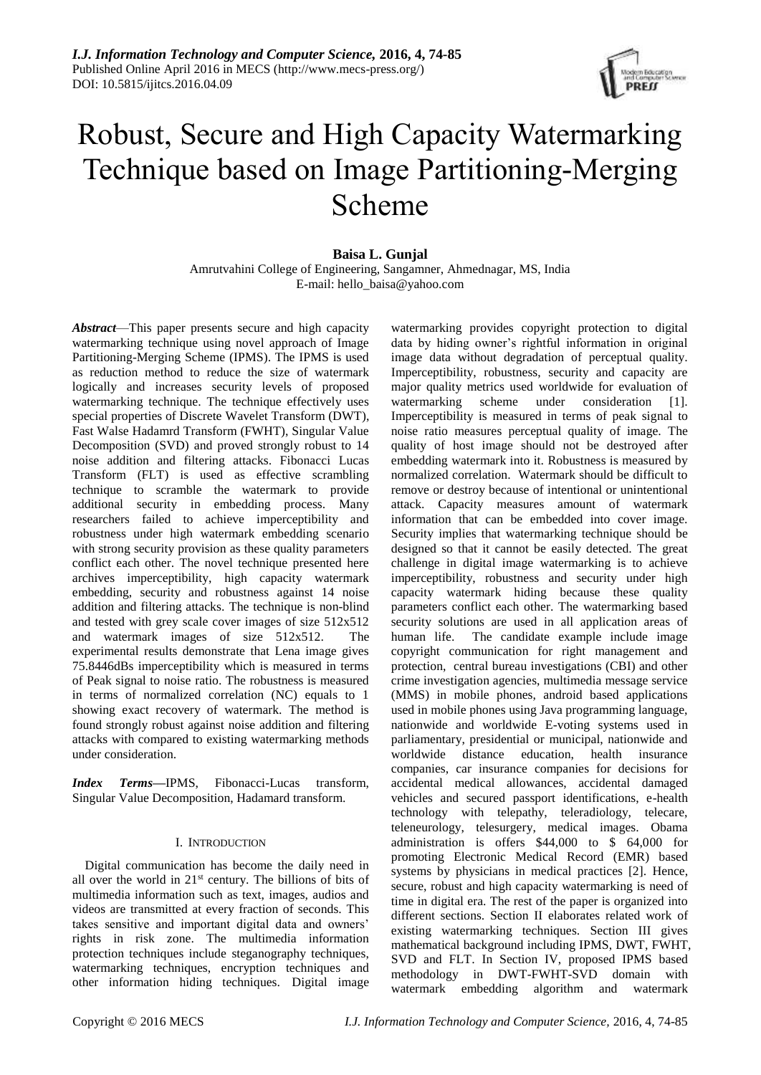

# Robust, Secure and High Capacity Watermarking Technique based on Image Partitioning-Merging Scheme

## **Baisa L. Gunjal** Amrutvahini College of Engineering, Sangamner, Ahmednagar, MS, India E-mail: hello\_baisa@yahoo.com

*Abstract*—This paper presents secure and high capacity watermarking technique using novel approach of Image Partitioning-Merging Scheme (IPMS). The IPMS is used as reduction method to reduce the size of watermark logically and increases security levels of proposed watermarking technique. The technique effectively uses special properties of Discrete Wavelet Transform (DWT), Fast Walse Hadamrd Transform (FWHT), Singular Value Decomposition (SVD) and proved strongly robust to 14 noise addition and filtering attacks. Fibonacci Lucas Transform (FLT) is used as effective scrambling technique to scramble the watermark to provide additional security in embedding process. Many researchers failed to achieve imperceptibility and robustness under high watermark embedding scenario with strong security provision as these quality parameters conflict each other. The novel technique presented here archives imperceptibility, high capacity watermark embedding, security and robustness against 14 noise addition and filtering attacks. The technique is non-blind and tested with grey scale cover images of size 512x512 and watermark images of size 512x512. The experimental results demonstrate that Lena image gives 75.8446dBs imperceptibility which is measured in terms of Peak signal to noise ratio. The robustness is measured in terms of normalized correlation (NC) equals to 1 showing exact recovery of watermark. The method is found strongly robust against noise addition and filtering attacks with compared to existing watermarking methods under consideration.

*Index Terms***—**IPMS, Fibonacci-Lucas transform, Singular Value Decomposition, Hadamard transform.

## I. INTRODUCTION

Digital communication has become the daily need in all over the world in 21st century. The billions of bits of multimedia information such as text, images, audios and videos are transmitted at every fraction of seconds. This takes sensitive and important digital data and owners' rights in risk zone. The multimedia information protection techniques include steganography techniques, watermarking techniques, encryption techniques and other information hiding techniques. Digital image

watermarking provides copyright protection to digital data by hiding owner's rightful information in original image data without degradation of perceptual quality. Imperceptibility, robustness, security and capacity are major quality metrics used worldwide for evaluation of watermarking scheme under consideration [1]. Imperceptibility is measured in terms of peak signal to noise ratio measures perceptual quality of image. The quality of host image should not be destroyed after embedding watermark into it. Robustness is measured by normalized correlation. Watermark should be difficult to remove or destroy because of intentional or unintentional attack. Capacity measures amount of watermark information that can be embedded into cover image. Security implies that watermarking technique should be designed so that it cannot be easily detected. The great challenge in digital image watermarking is to achieve imperceptibility, robustness and security under high capacity watermark hiding because these quality parameters conflict each other. The watermarking based security solutions are used in all application areas of human life. The candidate example include image copyright communication for right management and protection, central bureau investigations (CBI) and other crime investigation agencies, multimedia message service (MMS) in mobile phones, android based applications used in mobile phones using Java programming language, nationwide and worldwide E-voting systems used in parliamentary, presidential or municipal, nationwide and worldwide distance education, health insurance companies, car insurance companies for decisions for accidental medical allowances, accidental damaged vehicles and secured passport identifications, e-health technology with telepathy, teleradiology, telecare, teleneurology, telesurgery, medical images. Obama administration is offers \$44,000 to \$ 64,000 for promoting Electronic Medical Record (EMR) based systems by physicians in medical practices [2]. Hence, secure, robust and high capacity watermarking is need of time in digital era. The rest of the paper is organized into different sections. Section II elaborates related work of existing watermarking techniques. Section III gives mathematical background including IPMS, DWT, FWHT, SVD and FLT. In Section IV, proposed IPMS based methodology in DWT-FWHT-SVD domain with watermark embedding algorithm and watermark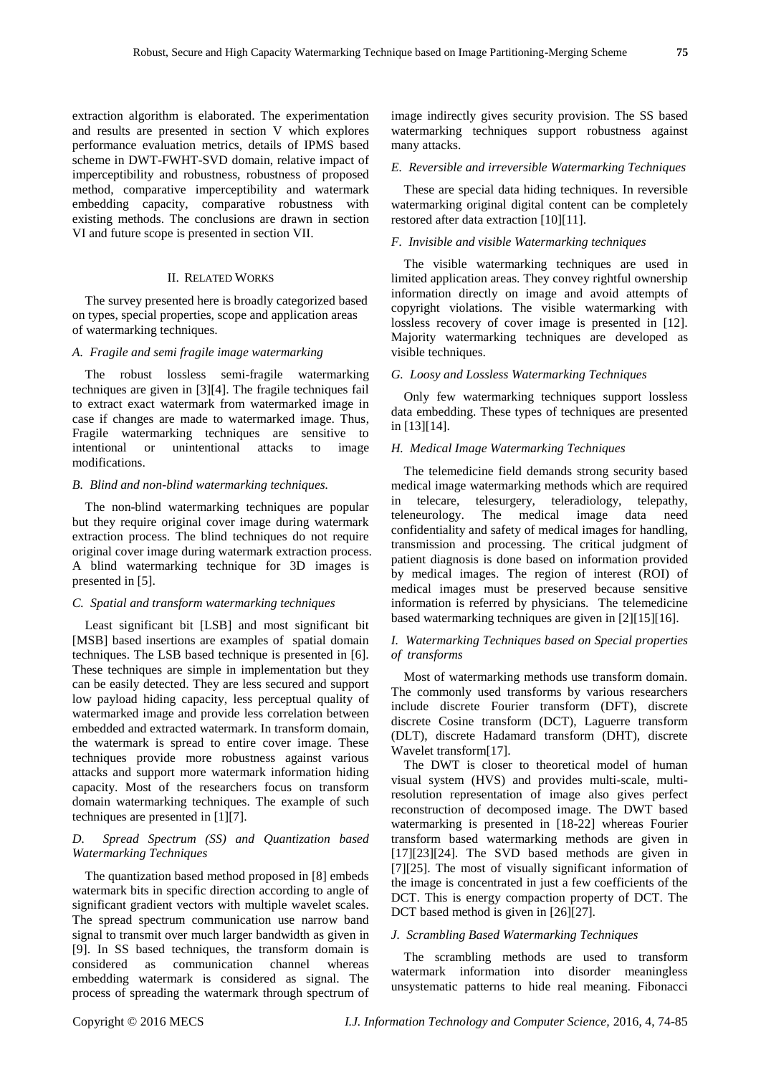extraction algorithm is elaborated. The experimentation and results are presented in section V which explores performance evaluation metrics, details of IPMS based scheme in DWT-FWHT-SVD domain, relative impact of imperceptibility and robustness, robustness of proposed method, comparative imperceptibility and watermark embedding capacity, comparative robustness with existing methods. The conclusions are drawn in section VI and future scope is presented in section VII.

## II. RELATED WORKS

The survey presented here is broadly categorized based on types, special properties, scope and application areas of watermarking techniques.

#### *A. Fragile and semi fragile image watermarking*

The robust lossless semi-fragile watermarking techniques are given in [3][4]. The fragile techniques fail to extract exact watermark from watermarked image in case if changes are made to watermarked image. Thus, Fragile watermarking techniques are sensitive to intentional or unintentional attacks to image modifications.

#### *B. Blind and non-blind watermarking techniques.*

The non-blind watermarking techniques are popular but they require original cover image during watermark extraction process. The blind techniques do not require original cover image during watermark extraction process. A blind watermarking technique for 3D images is presented in [5].

#### *C. Spatial and transform watermarking techniques*

Least significant bit [LSB] and most significant bit [MSB] based insertions are examples of spatial domain techniques. The LSB based technique is presented in [6]. These techniques are simple in implementation but they can be easily detected. They are less secured and support low payload hiding capacity, less perceptual quality of watermarked image and provide less correlation between embedded and extracted watermark. In transform domain, the watermark is spread to entire cover image. These techniques provide more robustness against various attacks and support more watermark information hiding capacity. Most of the researchers focus on transform domain watermarking techniques. The example of such techniques are presented in [1][7].

## *D. Spread Spectrum (SS) and Quantization based Watermarking Techniques*

The quantization based method proposed in [8] embeds watermark bits in specific direction according to angle of significant gradient vectors with multiple wavelet scales. The spread spectrum communication use narrow band signal to transmit over much larger bandwidth as given in [9]. In SS based techniques, the transform domain is considered as communication channel whereas embedding watermark is considered as signal. The process of spreading the watermark through spectrum of

image indirectly gives security provision. The SS based watermarking techniques support robustness against many attacks.

#### *E. Reversible and irreversible Watermarking Techniques*

These are special data hiding techniques. In reversible watermarking original digital content can be completely restored after data extraction [10][11].

#### *F. Invisible and visible Watermarking techniques*

The visible watermarking techniques are used in limited application areas. They convey rightful ownership information directly on image and avoid attempts of copyright violations. The visible watermarking with lossless recovery of cover image is presented in [12]. Majority watermarking techniques are developed as visible techniques.

#### *G. Loosy and Lossless Watermarking Techniques*

Only few watermarking techniques support lossless data embedding. These types of techniques are presented in [13][14].

#### *H. Medical Image Watermarking Techniques*

The telemedicine field demands strong security based medical image watermarking methods which are required in telecare, telesurgery, teleradiology, telepathy, teleneurology. The medical image data need confidentiality and safety of medical images for handling, transmission and processing. The critical judgment of patient diagnosis is done based on information provided by medical images. The region of interest (ROI) of medical images must be preserved because sensitive information is referred by physicians. The telemedicine based watermarking techniques are given in [2][15][16].

## *I. Watermarking Techniques based on Special properties of transforms*

Most of watermarking methods use transform domain. The commonly used transforms by various researchers include discrete Fourier transform (DFT), discrete discrete Cosine transform (DCT), Laguerre transform (DLT), discrete Hadamard transform (DHT), discrete Wavelet transform[17].

The DWT is closer to theoretical model of human visual system (HVS) and provides multi-scale, multiresolution representation of image also gives perfect reconstruction of decomposed image. The DWT based watermarking is presented in [18-22] whereas Fourier transform based watermarking methods are given in  $[17][23][24]$ . The SVD based methods are given in [7][25]. The most of visually significant information of the image is concentrated in just a few coefficients of the DCT. This is energy compaction property of DCT. The DCT based method is given in [26][27].

#### *J. Scrambling Based Watermarking Techniques*

The scrambling methods are used to transform watermark information into disorder meaningless unsystematic patterns to hide real meaning. Fibonacci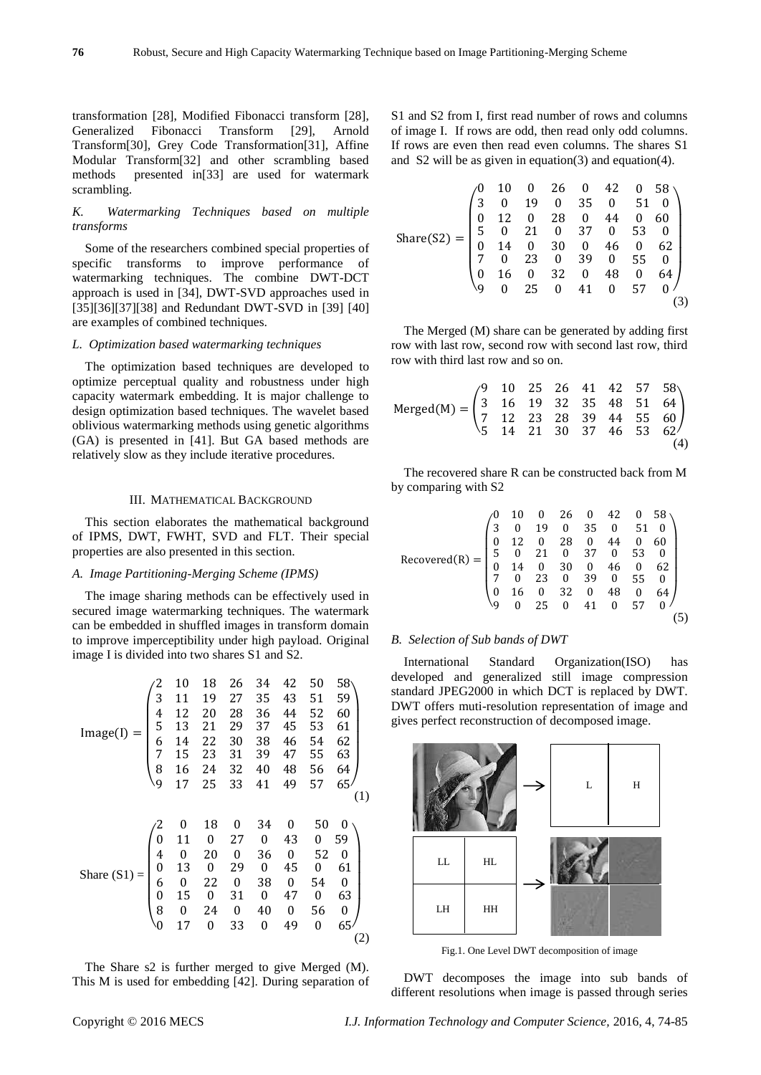transformation [28], Modified Fibonacci transform [28], Generalized Fibonacci Transform [29], Arnold Transform[30], Grey Code Transformation[31], Affine Modular Transform[32] and other scrambling based methods presented in[33] are used for watermark scrambling.

## *K. Watermarking Techniques based on multiple transforms*

Some of the researchers combined special properties of specific transforms to improve performance of watermarking techniques. The combine DWT-DCT approach is used in [34], DWT-SVD approaches used in [35][36][37][38] and Redundant DWT-SVD in [39] [40] are examples of combined techniques.

## *L. Optimization based watermarking techniques*

The optimization based techniques are developed to optimize perceptual quality and robustness under high capacity watermark embedding. It is major challenge to design optimization based techniques. The wavelet based oblivious watermarking methods using genetic algorithms (GA) is presented in [41]. But GA based methods are relatively slow as they include iterative procedures.

#### III. MATHEMATICAL BACKGROUND

This section elaborates the mathematical background of IPMS, DWT, FWHT, SVD and FLT. Their special properties are also presented in this section.

#### *A. Image Partitioning-Merging Scheme (IPMS)*

The image sharing methods can be effectively used in secured image watermarking techniques. The watermark can be embedded in shuffled images in transform domain to improve imperceptibility under high payload. Original image I is divided into two shares S1 and S2.

$$
Image(I) = \begin{pmatrix}\n2 & 10 & 18 & 26 & 34 & 42 & 50 & 58 \\
3 & 11 & 19 & 27 & 35 & 43 & 51 & 59 \\
4 & 12 & 20 & 28 & 36 & 44 & 52 & 60 \\
5 & 13 & 21 & 29 & 37 & 45 & 53 & 61 \\
6 & 14 & 22 & 30 & 38 & 46 & 54 & 62 \\
7 & 15 & 23 & 31 & 39 & 47 & 55 & 63 \\
8 & 16 & 24 & 32 & 40 & 48 & 56 & 64\n\end{pmatrix}
$$
\n
$$
(1)
$$
\n
$$
\begin{pmatrix}\n2 & 0 & 18 & 0 & 34 & 0 & 50 & 0 \\
0 & 11 & 0 & 27 & 0 & 43 & 0 & 59 \\
4 & 0 & 20 & 0 & 36 & 0 & 52 & 0 \\
0 & 13 & 0 & 29 & 0 & 45 & 0 & 61 \\
6 & 0 & 22 & 0 & 38 & 0 & 54 & 0 \\
0 & 15 & 0 & 31 & 0 & 47 & 0 & 63 \\
8 & 0 & 24 & 0 & 40 & 0 & 56 & 0 \\
0 & 17 & 0 & 33 & 0 & 49 & 0 & 65\n\end{pmatrix}
$$
\n(2)

The Share s2 is further merged to give Merged (M). This M is used for embedding [42]. During separation of S1 and S2 from I, first read number of rows and columns of image I. If rows are odd, then read only odd columns. If rows are even then read even columns. The shares S1 and S2 will be as given in equation(3) and equation(4).

$$
\text{Share(S2)} = \begin{pmatrix} 0 & 10 & 0 & 26 & 0 & 42 & 0 & 58 \\ 3 & 0 & 19 & 0 & 35 & 0 & 51 & 0 \\ 0 & 12 & 0 & 28 & 0 & 44 & 0 & 60 \\ 5 & 0 & 21 & 0 & 37 & 0 & 53 & 0 \\ 0 & 14 & 0 & 30 & 0 & 46 & 0 & 62 \\ 7 & 0 & 23 & 0 & 39 & 0 & 55 & 0 \\ 0 & 16 & 0 & 32 & 0 & 48 & 0 & 64 \\ 9 & 0 & 25 & 0 & 41 & 0 & 57 & 0 \end{pmatrix}
$$
(3)

The Merged (M) share can be generated by adding first row with last row, second row with second last row, third row with third last row and so on.

$$
Merged(M) = \begin{pmatrix} 9 & 10 & 25 & 26 & 41 & 42 & 57 & 58 \\ 3 & 16 & 19 & 32 & 35 & 48 & 51 & 64 \\ 7 & 12 & 23 & 28 & 39 & 44 & 55 & 60 \\ 5 & 14 & 21 & 30 & 37 & 46 & 53 & 62 \end{pmatrix}
$$
(4)

The recovered share R can be constructed back from M by comparing with S2

$$
Record(R) = \begin{pmatrix} 0 & 10 & 0 & 26 & 0 & 42 & 0 & 58 \\ 3 & 0 & 19 & 0 & 35 & 0 & 51 & 0 \\ 0 & 12 & 0 & 28 & 0 & 44 & 0 & 60 \\ 5 & 0 & 21 & 0 & 37 & 0 & 53 & 0 \\ 0 & 14 & 0 & 30 & 0 & 46 & 0 & 62 \\ 7 & 0 & 23 & 0 & 39 & 0 & 55 & 0 \\ 0 & 16 & 0 & 32 & 0 & 48 & 0 & 64 \\ 9 & 0 & 25 & 0 & 41 & 0 & 57 & 0 \end{pmatrix}
$$
(5)

#### *B. Selection of Sub bands of DWT*

International Standard Organization(ISO) has developed and generalized still image compression standard JPEG2000 in which DCT is replaced by DWT. DWT offers muti-resolution representation of image and gives perfect reconstruction of decomposed image.



Fig.1. One Level DWT decomposition of image

DWT decomposes the image into sub bands of different resolutions when image is passed through series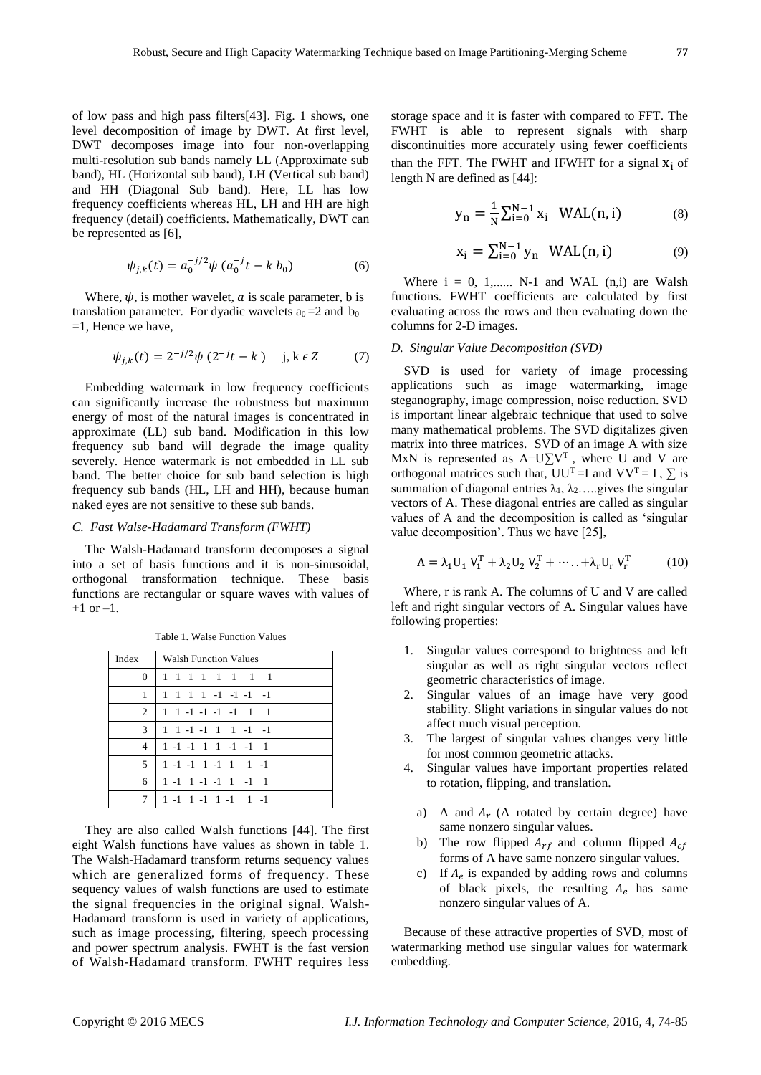of low pass and high pass filters[43]. Fig. 1 shows, one level decomposition of image by DWT. At first level, DWT decomposes image into four non-overlapping multi-resolution sub bands namely LL (Approximate sub band), HL (Horizontal sub band), LH (Vertical sub band) and HH (Diagonal Sub band). Here, LL has low frequency coefficients whereas HL, LH and HH are high frequency (detail) coefficients. Mathematically, DWT can be represented as [6],

$$
\psi_{j,k}(t) = a_0^{-j/2} \psi \left( a_0^{-j} t - k \, b_0 \right) \tag{6}
$$

Where,  $\psi$ , is mother wavelet, *a* is scale parameter, *b* is translation parameter. For dyadic wavelets  $a_0 = 2$  and  $b_0$  $=1$ , Hence we have,

$$
\psi_{j,k}(t) = 2^{-j/2} \psi(2^{-j}t - k) \quad j, k \in \mathbb{Z} \tag{7}
$$

Embedding watermark in low frequency coefficients can significantly increase the robustness but maximum energy of most of the natural images is concentrated in approximate (LL) sub band. Modification in this low frequency sub band will degrade the image quality severely. Hence watermark is not embedded in LL sub band. The better choice for sub band selection is high frequency sub bands (HL, LH and HH), because human naked eyes are not sensitive to these sub bands.

## *C. Fast Walse-Hadamard Transform (FWHT)*

The Walsh-Hadamard transform decomposes a signal into a set of basis functions and it is non-sinusoidal, orthogonal transformation technique. These basis functions are rectangular or square waves with values of  $+1$  or  $-1$ .

| Index         | <b>Walsh Function Values</b>    |  |  |  |
|---------------|---------------------------------|--|--|--|
|               | 0 1 1 1 1 1 1 1 1               |  |  |  |
| 1             | 1 1 1 1 -1 -1 -1 -1             |  |  |  |
| 2             | $1 1 - 1 - 1 - 1 - 1 - 1$       |  |  |  |
| $\mathcal{F}$ | 1 1 -1 -1 1 1 -1 -1             |  |  |  |
| 4             | 1 -1 -1 1 1 -1 -1 1             |  |  |  |
| 5.            | $1 - 1 - 1$ $1 - 1$ $1 - 1$     |  |  |  |
| 6             | $1 - 1$ $1 - 1 - 1$ $1 - 1$ $1$ |  |  |  |
|               | $1 - 1$ $1 - 1$ $1 - 1$ $1 - 1$ |  |  |  |

Table 1. Walse Function Values

They are also called Walsh functions [44]. The first eight Walsh functions have values as shown in table 1. The Walsh-Hadamard transform returns sequency values which are generalized forms of frequency. These sequency values of walsh functions are used to estimate the signal frequencies in the original signal. Walsh-Hadamard transform is used in variety of applications, such as image processing, filtering, speech processing and power spectrum analysis. FWHT is the fast version of Walsh-Hadamard transform. FWHT requires less

storage space and it is faster with compared to FFT. The FWHT is able to represent signals with sharp discontinuities more accurately using fewer coefficients than the FFT. The FWHT and IFWHT for a signal  $X_i$  of length N are defined as [44]:

$$
y_n = \frac{1}{N} \sum_{i=0}^{N-1} x_i \quad \text{WAL}(n, i) \tag{8}
$$

$$
x_i = \sum_{i=0}^{N-1} y_n \quad \text{WAL}(n, i) \tag{9}
$$

Where  $i = 0, 1, \dots$  N-1 and WAL  $(n,i)$  are Walsh functions. FWHT coefficients are calculated by first evaluating across the rows and then evaluating down the columns for 2-D images.

#### *D. Singular Value Decomposition (SVD)*

SVD is used for variety of image processing applications such as image watermarking, image steganography, image compression, noise reduction. SVD is important linear algebraic technique that used to solve many mathematical problems. The SVD digitalizes given matrix into three matrices. SVD of an image A with size MxN is represented as  $A=U\Sigma V^{T}$ , where U and V are orthogonal matrices such that,  $UU^T=I$  and  $VV^T=I$ ,  $\Sigma$  is summation of diagonal entries  $\lambda_1, \lambda_2, \ldots$  gives the singular vectors of A. These diagonal entries are called as singular values of A and the decomposition is called as 'singular value decomposition'. Thus we have [25],

$$
A = \lambda_1 U_1 V_1^T + \lambda_2 U_2 V_2^T + \dots + \lambda_r U_r V_r^T
$$
 (10)

Where, r is rank A. The columns of U and V are called left and right singular vectors of A. Singular values have following properties:

- 1. Singular values correspond to brightness and left singular as well as right singular vectors reflect geometric characteristics of image.
- 2. Singular values of an image have very good stability. Slight variations in singular values do not affect much visual perception.
- 3. The largest of singular values changes very little for most common geometric attacks.
- 4. Singular values have important properties related to rotation, flipping, and translation.
	- a) A and  $A_r$  (A rotated by certain degree) have same nonzero singular values.
	- b) The row flipped  $A_{rf}$  and column flipped  $A_{cf}$ forms of A have same nonzero singular values.
	- c) If  $A_e$  is expanded by adding rows and columns of black pixels, the resulting  $A_e$  has same nonzero singular values of A.

Because of these attractive properties of SVD, most of watermarking method use singular values for watermark embedding.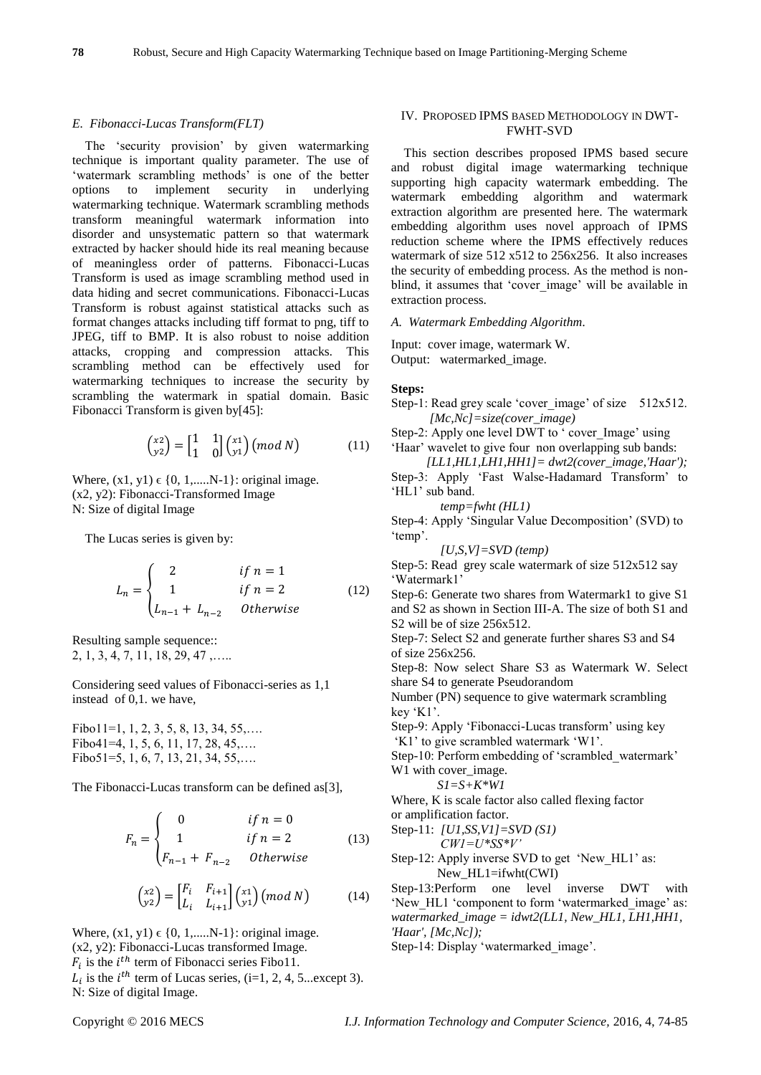#### *E. Fibonacci-Lucas Transform(FLT)*

The 'security provision' by given watermarking technique is important quality parameter. The use of 'watermark scrambling methods' is one of the better options to implement security in underlying watermarking technique. Watermark scrambling methods transform meaningful watermark information into disorder and unsystematic pattern so that watermark extracted by hacker should hide its real meaning because of meaningless order of patterns. Fibonacci-Lucas Transform is used as image scrambling method used in data hiding and secret communications. Fibonacci-Lucas Transform is robust against statistical attacks such as format changes attacks including tiff format to png, tiff to JPEG, tiff to BMP. It is also robust to noise addition attacks, cropping and compression attacks. This scrambling method can be effectively used for watermarking techniques to increase the security by scrambling the watermark in spatial domain. Basic Fibonacci Transform is given by[45]:

$$
\begin{pmatrix} x^2 \\ y^2 \end{pmatrix} = \begin{bmatrix} 1 & 1 \\ 1 & 0 \end{bmatrix} \begin{pmatrix} x^1 \\ y^1 \end{pmatrix} \begin{pmatrix} \text{mod } N \end{pmatrix} \tag{11}
$$

Where,  $(x1, y1) \in \{0, 1, \dots N-1\}$ : original image. (x2, y2): Fibonacci-Transformed Image N: Size of digital Image

The Lucas series is given by:

$$
L_n = \begin{cases} 2 & \text{if } n = 1 \\ 1 & \text{if } n = 2 \\ L_{n-1} + L_{n-2} & \text{Otherwise} \end{cases}
$$
 (12)

Resulting sample sequence:: 2, 1, 3, 4, 7, 11, 18, 29, 47 ,…..

Considering seed values of Fibonacci-series as 1,1 instead of 0,1. we have,

Fibo11=1, 1, 2, 3, 5, 8, 13, 34, 55,…. Fibo41=4, 1, 5, 6, 11, 17, 28, 45,…. Fibo51=5, 1, 6, 7, 13, 21, 34, 55,...

The Fibonacci-Lucas transform can be defined as[3],

$$
F_n = \begin{cases} 0 & \text{if } n = 0\\ 1 & \text{if } n = 2\\ F_{n-1} + F_{n-2} & \text{Otherwise} \end{cases}
$$
 (13)

$$
\begin{pmatrix} x^2 \\ y^2 \end{pmatrix} = \begin{bmatrix} F_i & F_{i+1} \\ L_i & L_{i+1} \end{bmatrix} \begin{pmatrix} x^1 \\ y^1 \end{pmatrix} \begin{pmatrix} mod \ N \end{pmatrix} \tag{14}
$$

Where,  $(x1, y1) \in \{0, 1, \ldots N-1\}$ : original image. (x2, y2): Fibonacci-Lucas transformed Image.  $F_i$  is the  $i^{th}$  term of Fibonacci series Fibo11.  $L_i$  is the  $i^{th}$  term of Lucas series, (i=1, 2, 4, 5...except 3). N: Size of digital Image.

#### IV. PROPOSED IPMS BASED METHODOLOGY IN DWT-FWHT-SVD

This section describes proposed IPMS based secure and robust digital image watermarking technique supporting high capacity watermark embedding. The watermark embedding algorithm and watermark extraction algorithm are presented here. The watermark embedding algorithm uses novel approach of IPMS reduction scheme where the IPMS effectively reduces watermark of size 512 x512 to 256x256. It also increases the security of embedding process. As the method is nonblind, it assumes that 'cover\_image' will be available in extraction process.

#### *A. Watermark Embedding Algorithm.*

Input: cover image, watermark W. Output: watermarked\_image.

#### **Steps:**

Step-1: Read grey scale 'cover\_image' of size 512x512.  *[Mc,Nc]=size(cover\_image)*

Step-2: Apply one level DWT to ' cover Image' using 'Haar' wavelet to give four non overlapping sub bands:

 *[LL1,HL1,LH1,HH1]= dwt2(cover\_image,'Haar');* Step-3: Apply 'Fast Walse-Hadamard Transform' to 'HL1' sub band.

$$
temp = fwht (HL1)
$$

Step-4: Apply 'Singular Value Decomposition' (SVD) to 'temp'.

*[U,S,V]=SVD (temp)*

Step-5: Read grey scale watermark of size 512x512 say 'Watermark1'

Step-6: Generate two shares from Watermark1 to give S1 and S2 as shown in Section III-A. The size of both S1 and S2 will be of size 256x512.

Step-7: Select S2 and generate further shares S3 and S4 of size 256x256.

Step-8: Now select Share S3 as Watermark W. Select share S4 to generate Pseudorandom

Number (PN) sequence to give watermark scrambling key 'K1'.

Step-9: Apply 'Fibonacci-Lucas transform' using key 'K1' to give scrambled watermark 'W1'.

Step-10: Perform embedding of 'scrambled\_watermark' W1 with cover\_image.

$$
SI = S + K * WI
$$

Where, K is scale factor also called flexing factor or amplification factor.

Step-11: *[U1,SS,V1]=SVD (S1) CW1=U\*SS\*V'*

Step-12: Apply inverse SVD to get 'New HL1' as: New  $HL1=ifwht(CWI)$ 

Step-13:Perform one level inverse DWT with 'New\_HL1 'component to form 'watermarked\_image' as: *watermarked\_image = idwt2(LL1, New\_HL1, LH1,HH1, 'Haar', [Mc,Nc]);* 

Step-14: Display 'watermarked\_image'.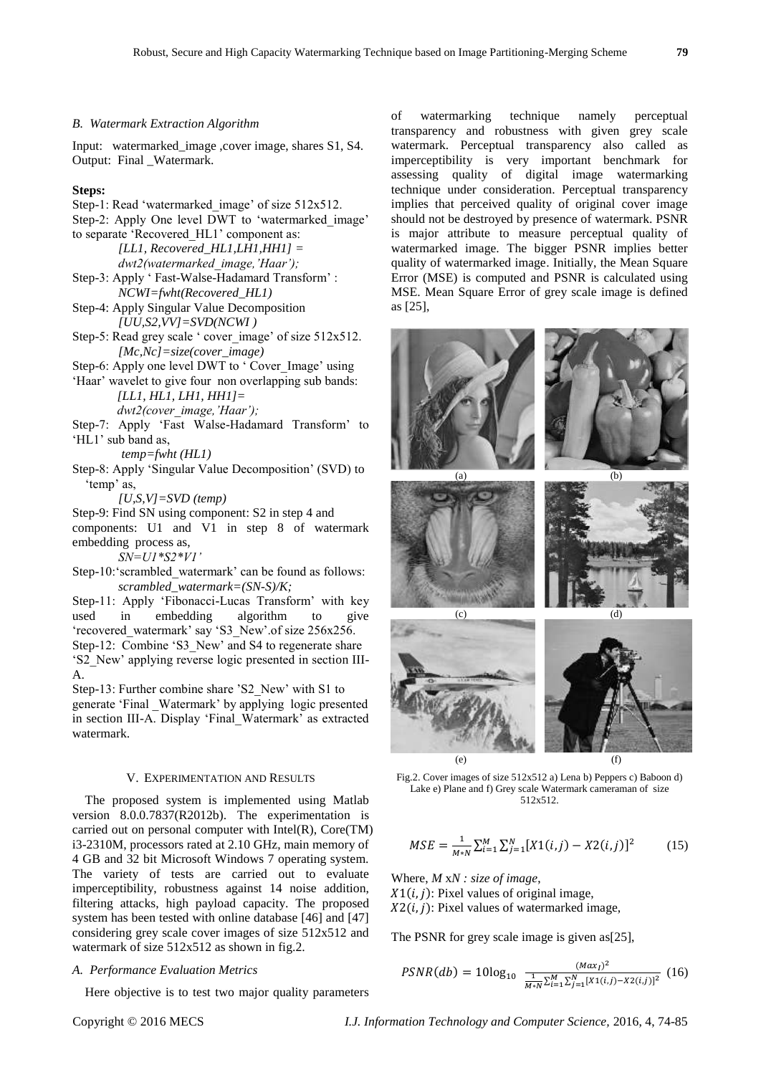#### *B. Watermark Extraction Algorithm*

Input: watermarked\_image ,cover image, shares S1, S4. Output: Final \_Watermark.

## **Steps:**

- Step-1: Read 'watermarked image' of size 512x512.
- Step-2: Apply One level DWT to 'watermarked image' to separate 'Recovered\_HL1' component as:
	- *[LL1, Recovered\_HL1,LH1,HH1] = dwt2(watermarked\_image,'Haar');*
- Step-3: Apply ' Fast-Walse-Hadamard Transform' : *NCWI=fwht(Recovered\_HL1)*
- Step-4: Apply Singular Value Decomposition *[UU,S2,VV]=SVD(NCWI )*
- Step-5: Read grey scale ' cover image' of size 512x512. *[Mc,Nc]=size(cover\_image)*
- Step-6: Apply one level DWT to ' Cover\_Image' using
- 'Haar' wavelet to give four non overlapping sub bands:  *[LL1, HL1, LH1, HH1]=*
	- *dwt2(cover\_image,'Haar');*
- Step-7: Apply 'Fast Walse-Hadamard Transform' to 'HL1' sub band as,
	- *temp=fwht (HL1)*
- Step-8: Apply 'Singular Value Decomposition' (SVD) to 'temp' as,

*[U,S,V]=SVD (temp)*

Step-9: Find SN using component: S2 in step 4 and

components: U1 and V1 in step 8 of watermark embedding process as,

*SN=U1\*S2\*V1'* 

Step-10:'scrambled\_watermark' can be found as follows: *scrambled\_watermark=(SN-S)/K;* 

Step-11: Apply 'Fibonacci-Lucas Transform' with key used in embedding algorithm to give 'recovered\_watermark' say 'S3\_New'.of size 256x256. Step-12: Combine 'S3 New' and S4 to regenerate share 'S2\_New' applying reverse logic presented in section III-A.

Step-13: Further combine share 'S2\_New' with S1 to generate 'Final \_Watermark' by applying logic presented in section III-A. Display 'Final\_Watermark' as extracted watermark.

#### V. EXPERIMENTATION AND RESULTS

The proposed system is implemented using Matlab version 8.0.0.7837(R2012b). The experimentation is carried out on personal computer with Intel(R), Core(TM) i3-2310M, processors rated at 2.10 GHz, main memory of 4 GB and 32 bit Microsoft Windows 7 operating system. The variety of tests are carried out to evaluate imperceptibility, robustness against 14 noise addition, filtering attacks, high payload capacity. The proposed system has been tested with online database [46] and [47] considering grey scale cover images of size 512x512 and watermark of size  $512x512$  as shown in fig.2.

#### *A. Performance Evaluation Metrics*

Here objective is to test two major quality parameters

of watermarking technique namely perceptual transparency and robustness with given grey scale watermark. Perceptual transparency also called as imperceptibility is very important benchmark for assessing quality of digital image watermarking technique under consideration. Perceptual transparency implies that perceived quality of original cover image should not be destroyed by presence of watermark. PSNR is major attribute to measure perceptual quality of watermarked image. The bigger PSNR implies better quality of watermarked image. Initially, the Mean Square Error (MSE) is computed and PSNR is calculated using MSE. Mean Square Error of grey scale image is defined as [25],



Fig.2. Cover images of size 512x512 a) Lena b) Peppers c) Baboon d) Lake e) Plane and f) Grey scale Watermark cameraman of size 512x512.

$$
MSE = \frac{1}{M*N} \sum_{i=1}^{M} \sum_{j=1}^{N} [X1(i,j) - X2(i,j)]^2
$$
 (15)

Where, *M* x*N : size of image*,

 $X1(i, j)$ : Pixel values of original image,  $X2(i, j)$ : Pixel values of watermarked image,

The PSNR for grey scale image is given as[25],

$$
PSNR(db) = 10\log_{10} \frac{(Max_I)^2}{\frac{1}{M*N}\sum_{i=1}^{M}\sum_{j=1}^{N}[X1(i,j)-X2(i,j)]^2} (16)
$$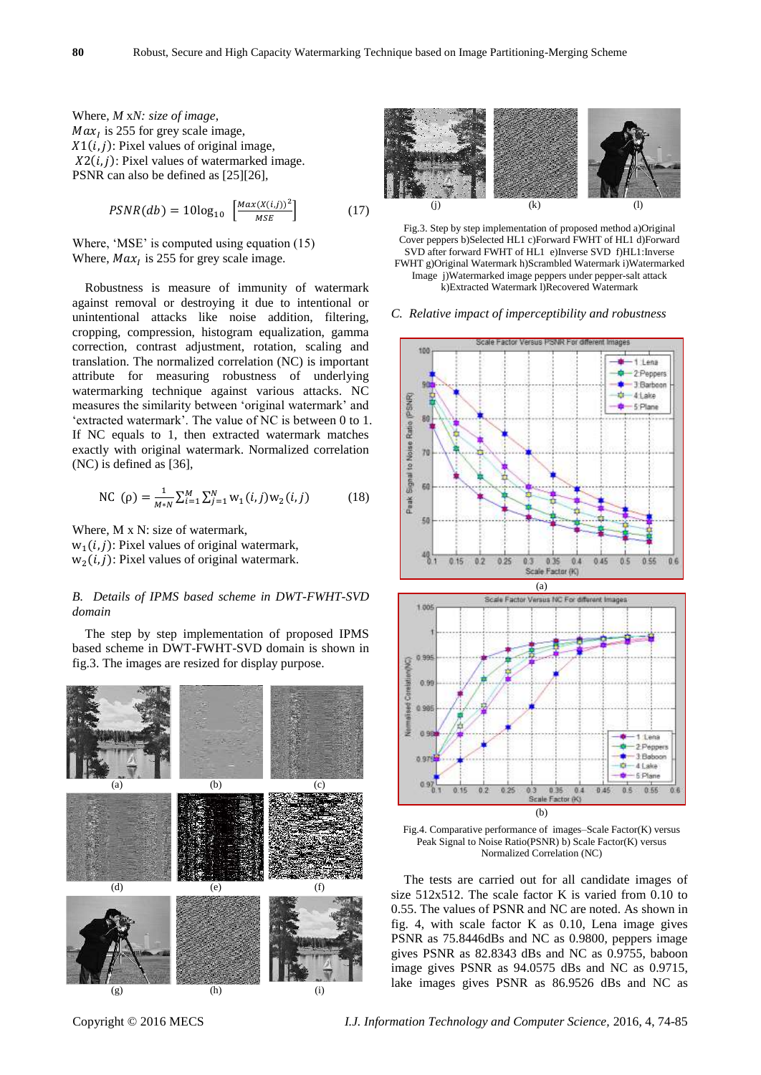Where, *M* x*N: size of image*,  $Max<sub>I</sub>$  is 255 for grey scale image,  $X1(i, j)$ : Pixel values of original image,  $X2(i, j)$ : Pixel values of watermarked image. PSNR can also be defined as [25][26],

$$
PSNR(db) = 10\log_{10}\left[\frac{Max(X(i,j))^2}{MSE}\right] \tag{17}
$$

Where, 'MSE' is computed using equation (15) Where,  $Max<sub>I</sub>$  is 255 for grey scale image.

Robustness is measure of immunity of watermark against removal or destroying it due to intentional or unintentional attacks like noise addition, filtering, cropping, compression, histogram equalization, gamma correction, contrast adjustment, rotation, scaling and translation. The normalized correlation (NC) is important attribute for measuring robustness of underlying watermarking technique against various attacks. NC measures the similarity between 'original watermark' and 'extracted watermark'. The value of NC is between 0 to 1. If NC equals to 1, then extracted watermark matches exactly with original watermark. Normalized correlation (NC) is defined as [36],

NC (p) = 
$$
\frac{1}{M*N} \sum_{i=1}^{M} \sum_{j=1}^{N} w_1(i,j) w_2(i,j)
$$
 (18)

Where, M x N: size of watermark,  $w_1(i, j)$ : Pixel values of original watermark,  $w_2(i, j)$ : Pixel values of original watermark.

## *B. Details of IPMS based scheme in DWT-FWHT-SVD domain*

The step by step implementation of proposed IPMS based scheme in DWT-FWHT-SVD domain is shown in fig.3. The images are resized for display purpose.





Fig.3. Step by step implementation of proposed method a)Original Cover peppers b)Selected HL1 c)Forward FWHT of HL1 d)Forward SVD after forward FWHT of HL1 e)Inverse SVD f)HL1:Inverse FWHT g)Original Watermark h)Scrambled Watermark i)Watermarked Image j)Watermarked image peppers under pepper-salt attack k)Extracted Watermark l)Recovered Watermark

*C. Relative impact of imperceptibility and robustness*





The tests are carried out for all candidate images of size 512x512. The scale factor K is varied from 0.10 to 0.55. The values of PSNR and NC are noted. As shown in fig. 4, with scale factor K as 0.10, Lena image gives PSNR as 75.8446dBs and NC as 0.9800, peppers image gives PSNR as 82.8343 dBs and NC as 0.9755, baboon image gives PSNR as 94.0575 dBs and NC as 0.9715, lake images gives PSNR as 86.9526 dBs and NC as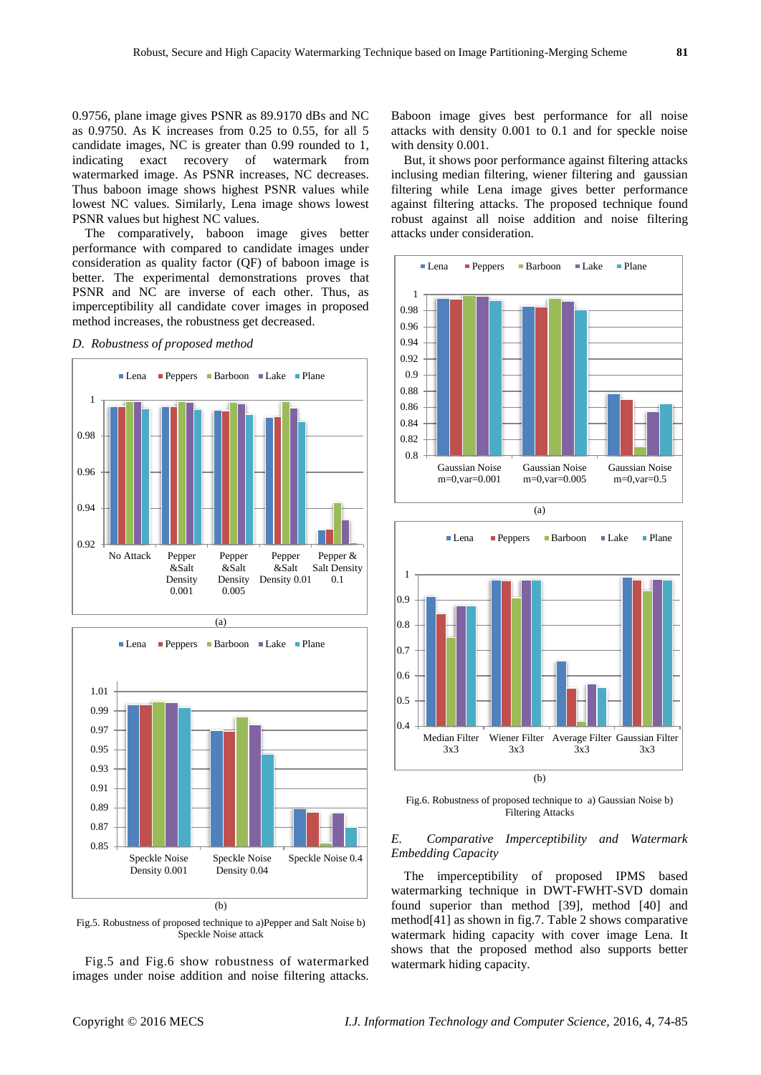0.9756, plane image gives PSNR as 89.9170 dBs and NC as 0.9750. As K increases from 0.25 to 0.55, for all 5 candidate images, NC is greater than 0.99 rounded to 1, indicating exact recovery of watermark from watermarked image. As PSNR increases, NC decreases. Thus baboon image shows highest PSNR values while lowest NC values. Similarly, Lena image shows lowest PSNR values but highest NC values.

The comparatively, baboon image gives better performance with compared to candidate images under consideration as quality factor (QF) of baboon image is better. The experimental demonstrations proves that PSNR and NC are inverse of each other. Thus, as imperceptibility all candidate cover images in proposed method increases, the robustness get decreased.

## *D. Robustness of proposed method*





Fig.5. Robustness of proposed technique to a)Pepper and Salt Noise b) Speckle Noise attack

Fig.5 and Fig.6 show robustness of watermarked images under noise addition and noise filtering attacks.

Baboon image gives best performance for all noise attacks with density 0.001 to 0.1 and for speckle noise with density 0.001.

But, it shows poor performance against filtering attacks inclusing median filtering, wiener filtering and gaussian filtering while Lena image gives better performance against filtering attacks. The proposed technique found robust against all noise addition and noise filtering attacks under consideration.





Fig.6. Robustness of proposed technique to a) Gaussian Noise b) Filtering Attacks

## *E. Comparative Imperceptibility and Watermark Embedding Capacity*

The imperceptibility of proposed IPMS based watermarking technique in DWT-FWHT-SVD domain found superior than method [39], method [40] and method[41] as shown in fig.7. Table 2 shows comparative watermark hiding capacity with cover image Lena. It shows that the proposed method also supports better watermark hiding capacity.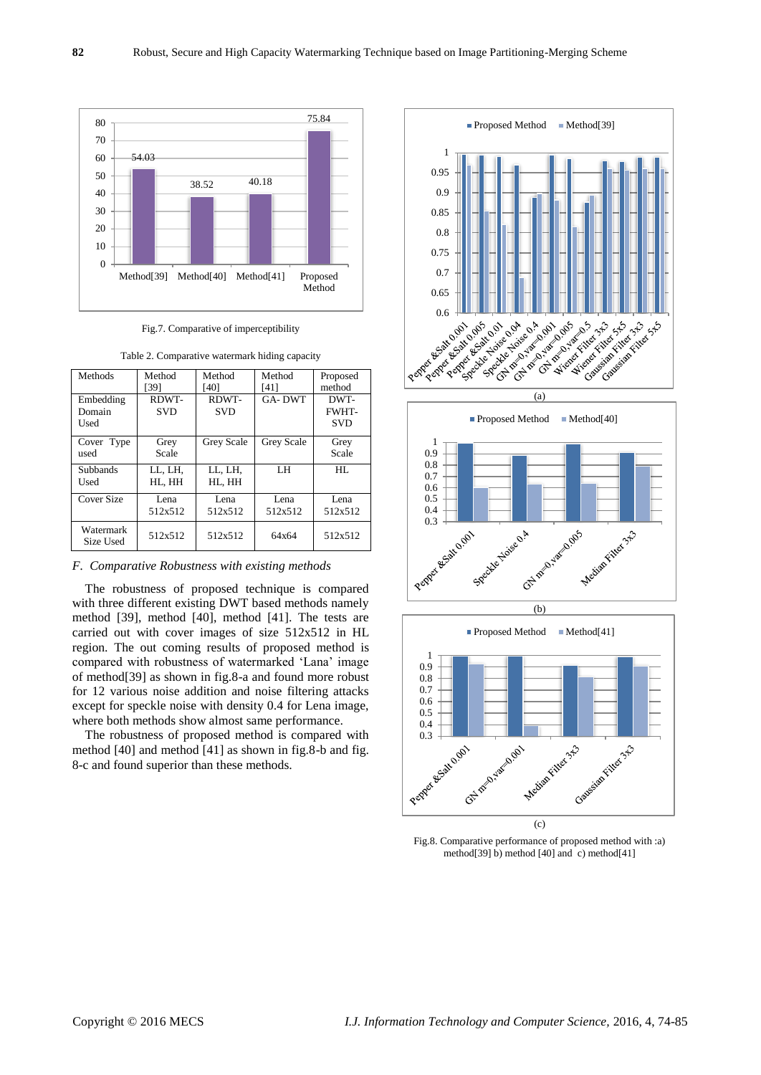

Fig.7. Comparative of imperceptibility

| Table 2. Comparative watermark hiding capacity |  |
|------------------------------------------------|--|
|                                                |  |

| Methods                | Method     | Method     | Method        | Proposed     |
|------------------------|------------|------------|---------------|--------------|
|                        | [39]       | [40]       | [41]          | method       |
| Embedding              | RDWT-      | RDWT-      | <b>GA-DWT</b> | DWT-         |
| Domain                 | <b>SVD</b> | <b>SVD</b> |               | <b>FWHT-</b> |
| Used                   |            |            |               | <b>SVD</b>   |
| Cover Type             | Grey       | Grey Scale | Grey Scale    | Grey         |
| used                   | Scale      |            |               | Scale        |
| <b>Subbands</b>        | LL, LH,    | LL, LH,    | LH            | HL.          |
| Used                   | HL, HH     | HL, HH     |               |              |
| Cover Size             | Lena       | Lena       | Lena          | Lena         |
|                        | 512x512    | 512x512    | 512x512       | 512x512      |
| Watermark<br>Size Used | 512x512    | 512x512    | 64x64         | 512x512      |

*F. Comparative Robustness with existing methods*

The robustness of proposed technique is compared with three different existing DWT based methods namely method [39], method [40], method [41]. The tests are carried out with cover images of size 512x512 in HL region. The out coming results of proposed method is compared with robustness of watermarked 'Lana' image of method[39] as shown in fig.8-a and found more robust for 12 various noise addition and noise filtering attacks except for speckle noise with density 0.4 for Lena image, where both methods show almost same performance.

The robustness of proposed method is compared with method [40] and method [41] as shown in fig.8-b and fig. 8-c and found superior than these methods.



Fig.8. Comparative performance of proposed method with :a) method[39] b) method [40] and c) method[41]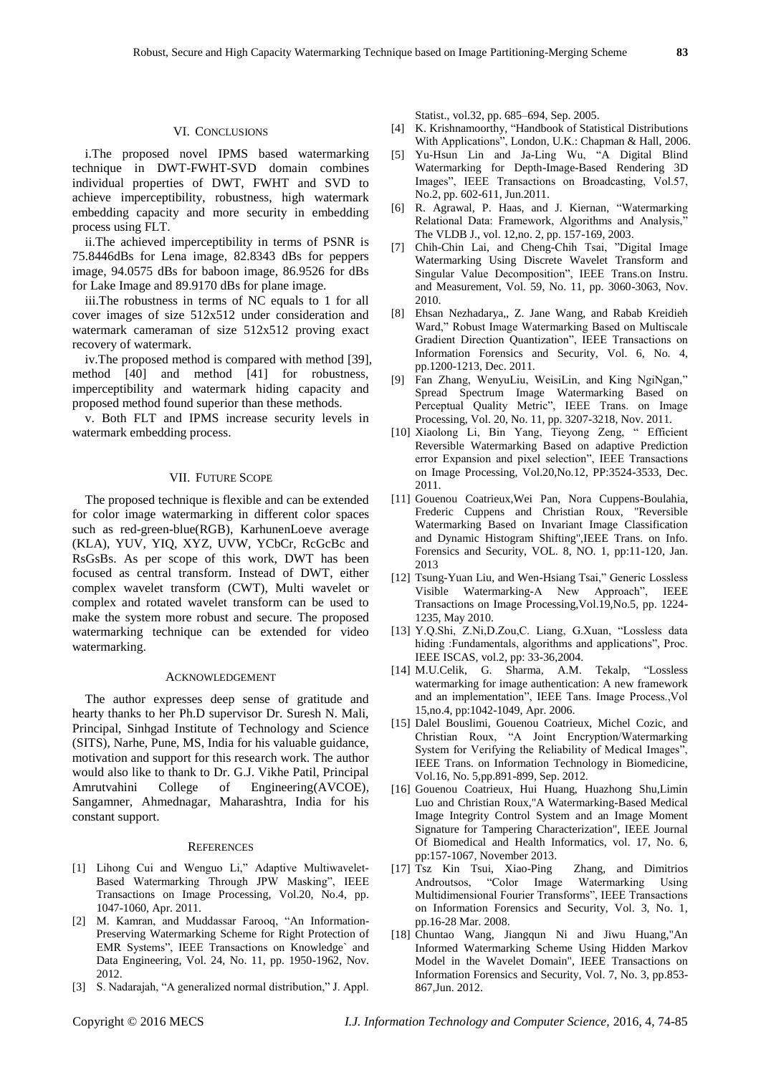### VI. CONCLUSIONS

i.The proposed novel IPMS based watermarking technique in DWT-FWHT-SVD domain combines individual properties of DWT, FWHT and SVD to achieve imperceptibility, robustness, high watermark embedding capacity and more security in embedding process using FLT.

ii.The achieved imperceptibility in terms of PSNR is 75.8446dBs for Lena image, 82.8343 dBs for peppers image, 94.0575 dBs for baboon image, 86.9526 for dBs for Lake Image and 89.9170 dBs for plane image.

iii.The robustness in terms of NC equals to 1 for all cover images of size 512x512 under consideration and watermark cameraman of size 512x512 proving exact recovery of watermark.

iv.The proposed method is compared with method [39], method [40] and method [41] for robustness, imperceptibility and watermark hiding capacity and proposed method found superior than these methods.

v. Both FLT and IPMS increase security levels in watermark embedding process.

#### VII. FUTURE SCOPE

The proposed technique is flexible and can be extended for color image watermarking in different color spaces such as red-green-blue(RGB), KarhunenLoeve average (KLA), YUV, YIQ, XYZ, UVW, YCbCr, RcGcBc and RsGsBs. As per scope of this work, DWT has been focused as central transform. Instead of DWT, either complex wavelet transform (CWT), Multi wavelet or complex and rotated wavelet transform can be used to make the system more robust and secure. The proposed watermarking technique can be extended for video watermarking.

#### ACKNOWLEDGEMENT

The author expresses deep sense of gratitude and hearty thanks to her Ph.D supervisor Dr. Suresh N. Mali, Principal, Sinhgad Institute of Technology and Science (SITS), Narhe, Pune, MS, India for his valuable guidance, motivation and support for this research work. The author would also like to thank to Dr. G.J. Vikhe Patil, Principal Amrutvahini College of Engineering(AVCOE), Sangamner, Ahmednagar, Maharashtra, India for his constant support.

#### **REFERENCES**

- [1] Lihong Cui and Wenguo Li," Adaptive Multiwavelet-Based Watermarking Through JPW Masking", IEEE Transactions on Image Processing, Vol.20, No.4, pp. 1047-1060, Apr. 2011.
- [2] M. Kamran, and Muddassar Farooq, "An Information-Preserving Watermarking Scheme for Right Protection of EMR Systems", IEEE Transactions on Knowledge` and Data Engineering, Vol. 24, No. 11, pp. 1950-1962, Nov. 2012.
- [3] S. Nadarajah, "A generalized normal distribution," J. Appl.

Statist., vol.32, pp. 685–694, Sep. 2005.

- [4] K. Krishnamoorthy, "Handbook of Statistical Distributions With Applications", London, U.K.: Chapman & Hall, 2006.
- [5] Yu-Hsun Lin and Ja-Ling Wu, "A Digital Blind Watermarking for Depth-Image-Based Rendering 3D Images", IEEE Transactions on Broadcasting, Vol.57, No.2, pp. 602-611, Jun.2011.
- [6] R. Agrawal, P. Haas, and J. Kiernan, "Watermarking Relational Data: Framework, Algorithms and Analysis," The VLDB J., vol. 12,no. 2, pp. 157-169, 2003.
- [7] Chih-Chin Lai, and Cheng-Chih Tsai, "Digital Image Watermarking Using Discrete Wavelet Transform and Singular Value Decomposition", IEEE Trans.on Instru. and Measurement, Vol. 59, No. 11, pp. 3060-3063, Nov. 2010.
- [8] Ehsan Nezhadarya,, Z. Jane Wang, and Rabab Kreidieh Ward," Robust Image Watermarking Based on Multiscale Gradient Direction Quantization", IEEE Transactions on Information Forensics and Security, Vol. 6, No. 4, pp.1200-1213, Dec. 2011.
- [9] Fan Zhang, WenyuLiu, WeisiLin, and King NgiNgan," Spread Spectrum Image Watermarking Based on Perceptual Quality Metric", IEEE Trans. on Image Processing, Vol. 20, No. 11, pp. 3207-3218, Nov. 2011.
- [10] Xiaolong Li, Bin Yang, Tieyong Zeng, " Efficient Reversible Watermarking Based on adaptive Prediction error Expansion and pixel selection", IEEE Transactions on Image Processing, Vol.20,No.12, PP:3524-3533, Dec. 2011.
- [11] Gouenou Coatrieux,Wei Pan, Nora Cuppens-Boulahia, Frederic Cuppens and Christian Roux, "Reversible Watermarking Based on Invariant Image Classification and Dynamic Histogram Shifting",IEEE Trans. on Info. Forensics and Security, VOL. 8, NO. 1, pp:11-120, Jan. 2013
- [12] Tsung-Yuan Liu, and Wen-Hsiang Tsai," Generic Lossless Visible Watermarking-A New Approach", IEEE Transactions on Image Processing,Vol.19,No.5, pp. 1224- 1235, May 2010.
- [13] Y.Q.Shi, Z.Ni,D.Zou,C. Liang, G.Xuan, "Lossless data hiding :Fundamentals, algorithms and applications", Proc. IEEE ISCAS, vol.2, pp: 33-36,2004.
- [14] M.U.Celik, G. Sharma, A.M. Tekalp, "Lossless watermarking for image authentication: A new framework and an implementation", IEEE Tans. Image Process.,Vol 15,no.4, pp:1042-1049, Apr. 2006.
- [15] Dalel Bouslimi, Gouenou Coatrieux, Michel Cozic, and Christian Roux, "A Joint Encryption/Watermarking System for Verifying the Reliability of Medical Images", IEEE Trans. on Information Technology in Biomedicine, Vol.16, No. 5,pp.891-899, Sep. 2012.
- [16] Gouenou Coatrieux, Hui Huang, Huazhong Shu,Limin Luo and Christian Roux,"A Watermarking-Based Medical Image Integrity Control System and an Image Moment Signature for Tampering Characterization", IEEE Journal Of Biomedical and Health Informatics, vol. 17, No. 6, pp:157-1067, November 2013.
- [17] Tsz Kin Tsui, Xiao-Ping Zhang, and Dimitrios Androutsos, "Color Image Watermarking Using Multidimensional Fourier Transforms", IEEE Transactions on Information Forensics and Security, Vol. 3, No. 1, pp.16-28 Mar. 2008.
- [18] Chuntao Wang, Jiangqun Ni and Jiwu Huang,"An Informed Watermarking Scheme Using Hidden Markov Model in the Wavelet Domain", IEEE Transactions on Information Forensics and Security, Vol. 7, No. 3, pp.853- 867,Jun. 2012.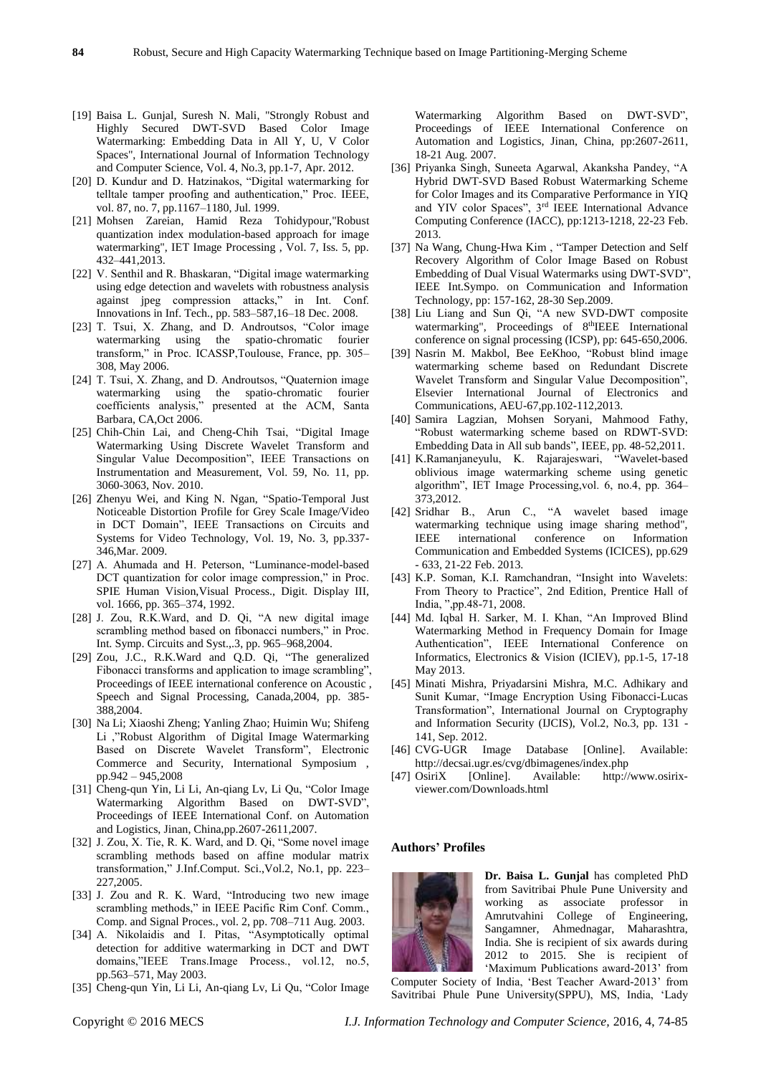- 
- [19] Baisa L. Gunjal, Suresh N. Mali, "Strongly Robust and Highly Secured DWT-SVD Based Color Image Watermarking: Embedding Data in All Y, U, V Color Spaces", International Journal of Information Technology and Computer Science, Vol. 4, No.3, pp.1-7, Apr. 2012.
- [20] D. Kundur and D. Hatzinakos, "Digital watermarking for telltale tamper proofing and authentication," Proc. IEEE, vol. 87, no. 7, pp.1167–1180, Jul. 1999.
- [21] Mohsen Zareian, Hamid Reza Tohidypour,"Robust quantization index modulation-based approach for image watermarking", IET Image Processing , Vol. 7, Iss. 5, pp. 432–441,2013.
- [22] V. Senthil and R. Bhaskaran, "Digital image watermarking using edge detection and wavelets with robustness analysis against jpeg compression attacks," in Int. Conf. Innovations in Inf. Tech., pp. 583–587,16–18 Dec. 2008.
- [23] T. Tsui, X. Zhang, and D. Androutsos, "Color image watermarking using the spatio-chromatic fourier transform," in Proc. ICASSP,Toulouse, France, pp. 305– 308, May 2006.
- [24] T. Tsui, X. Zhang, and D. Androutsos, "Quaternion image watermarking using the spatio-chromatic fourier coefficients analysis," presented at the ACM, Santa Barbara, CA,Oct 2006.
- [25] Chih-Chin Lai, and Cheng-Chih Tsai, "Digital Image Watermarking Using Discrete Wavelet Transform and Singular Value Decomposition", IEEE Transactions on Instrumentation and Measurement, Vol. 59, No. 11, pp. 3060-3063, Nov. 2010.
- [26] Zhenyu Wei, and King N. Ngan, "Spatio-Temporal Just Noticeable Distortion Profile for Grey Scale Image/Video in DCT Domain", IEEE Transactions on Circuits and Systems for Video Technology, Vol. 19, No. 3, pp.337- 346,Mar. 2009.
- [27] A. Ahumada and H. Peterson, "Luminance-model-based DCT quantization for color image compression," in Proc. SPIE Human Vision,Visual Process., Digit. Display III, vol. 1666, pp. 365–374, 1992.
- [28] J. Zou, R.K.Ward, and D. Qi, "A new digital image scrambling method based on fibonacci numbers," in Proc. Int. Symp. Circuits and Syst.,.3, pp. 965–968,2004.
- [29] Zou, J.C., R.K.Ward and Q.D. Qi, "The generalized Fibonacci transforms and application to image scrambling", Proceedings of IEEE international conference on Acoustic , Speech and Signal Processing, Canada,2004, pp. 385- 388,2004.
- [30] Na Li; Xiaoshi Zheng; Yanling Zhao; Huimin Wu; Shifeng Li ,"Robust Algorithm of Digital Image Watermarking Based on Discrete Wavelet Transform", Electronic Commerce and Security, International Symposium , pp.942 – 945,2008
- [31] Cheng-qun Yin, Li Li, An-qiang Lv, Li Qu, "Color Image Watermarking Algorithm Based on DWT-SVD", Proceedings of IEEE International Conf. on Automation and Logistics, Jinan, China,pp.2607-2611,2007.
- [32] J. Zou, X. Tie, R. K. Ward, and D. Qi, "Some novel image scrambling methods based on affine modular matrix transformation," J.Inf.Comput. Sci.,Vol.2, No.1, pp. 223– 227,2005.
- [33] J. Zou and R. K. Ward, "Introducing two new image scrambling methods," in IEEE Pacific Rim Conf. Comm., Comp. and Signal Proces., vol. 2, pp. 708–711 Aug. 2003.
- [34] A. Nikolaidis and I. Pitas, "Asymptotically optimal detection for additive watermarking in DCT and DWT domains,"IEEE Trans.Image Process., vol.12, no.5, pp.563–571, May 2003.
- [35] Cheng-qun Yin, Li Li, An-qiang Lv, Li Qu, "Color Image

Watermarking Algorithm Based on DWT-SVD", Proceedings of IEEE International Conference on Automation and Logistics, Jinan, China, pp:2607-2611, 18-21 Aug. 2007.

- [36] Priyanka Singh, Suneeta Agarwal, Akanksha Pandey, "A Hybrid DWT-SVD Based Robust Watermarking Scheme for Color Images and its Comparative Performance in YIQ and YIV color Spaces", 3rd IEEE International Advance Computing Conference (IACC), pp:1213-1218, 22-23 Feb. 2013.
- [37] Na Wang, Chung-Hwa Kim, "Tamper Detection and Self Recovery Algorithm of Color Image Based on Robust Embedding of Dual Visual Watermarks using DWT-SVD", IEEE Int.Sympo. on Communication and Information Technology, pp: 157-162, 28-30 Sep.2009.
- [38] Liu Liang and Sun Qi, "A new SVD-DWT composite watermarking", Proceedings of 8<sup>th</sup>IEEE International conference on signal processing (ICSP), pp: 645-650,2006.
- [39] Nasrin M. Makbol, Bee EeKhoo, "Robust blind image watermarking scheme based on Redundant Discrete Wavelet Transform and Singular Value Decomposition", Elsevier International Journal of Electronics and Communications, AEU-67,pp.102-112,2013.
- [40] Samira Lagzian, Mohsen Soryani, Mahmood Fathy, "Robust watermarking scheme based on RDWT-SVD: Embedding Data in All sub bands", IEEE, pp. 48-52,2011.
- [41] K.Ramanjaneyulu, K. Rajarajeswari, "Wavelet-based oblivious image watermarking scheme using genetic algorithm", IET Image Processing,vol. 6, no.4, pp. 364– 373,2012.
- [42] Sridhar B., Arun C., "A wavelet based image watermarking technique using image sharing method", IEEE international conference on Information Communication and Embedded Systems (ICICES), pp.629 - 633, 21-22 Feb. 2013.
- [43] K.P. Soman, K.I. Ramchandran, "Insight into Wavelets: From Theory to Practice", 2nd Edition, Prentice Hall of India, ",pp.48-71, 2008.
- [44] Md. Iqbal H. Sarker, M. I. Khan, "An Improved Blind Watermarking Method in Frequency Domain for Image Authentication", IEEE International Conference on Informatics, Electronics & Vision (ICIEV), pp.1-5, 17-18 May 2013.
- [45] Minati Mishra, Priyadarsini Mishra, M.C. Adhikary and Sunit Kumar, "Image Encryption Using Fibonacci-Lucas Transformation", International Journal on Cryptography and Information Security (IJCIS), Vol.2, No.3, pp. 131 - 141, Sep. 2012.
- [46] CVG-UGR Image Database [Online]. Available: http://decsai.ugr.es/cvg/dbimagenes/index.php
- [47] OsiriX [Online]. Available: http://www.osirixviewer.com/Downloads.html

#### **Authors' Profiles**



**Dr. Baisa L. Gunjal** has completed PhD from Savitribai Phule Pune University and working as associate professor in Amrutvahini College of Engineering, Sangamner, Ahmednagar, Maharashtra, India. She is recipient of six awards during 2012 to 2015. She is recipient of 'Maximum Publications award-2013' from

Computer Society of India, 'Best Teacher Award-2013' from Savitribai Phule Pune University(SPPU), MS, India, 'Lady